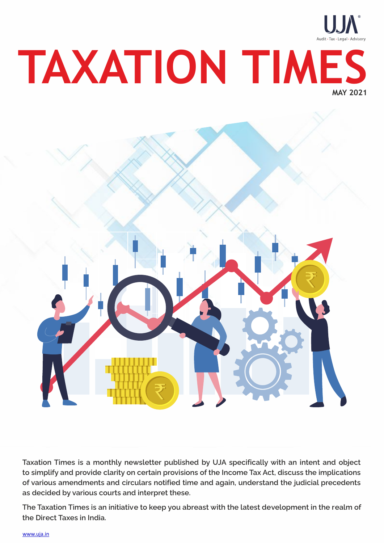

**Taxation Times is a monthly newsletter published by UJA specifically with an intent and object to simplify and provide clarity on certain provisions of the Income Tax Act, discuss the implications of various amendments and circulars notified time and again, understand the judicial precedents as decided by various courts and interpret these.**

**The Taxation Times is an initiative to keep you abreast with the latest development in the realm of the Direct Taxes in India.** 

www.uja.in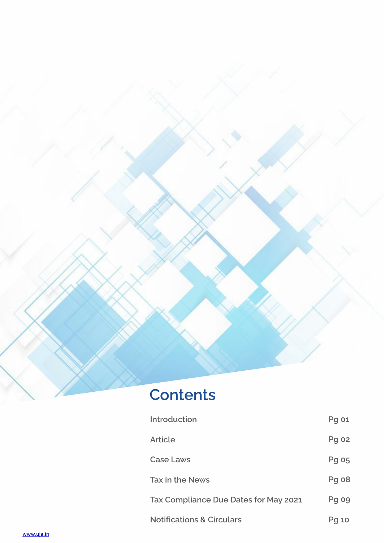

# **Contents**

| <b>Introduction</b>                   | <b>Pg 01</b> |
|---------------------------------------|--------------|
| <b>Article</b>                        | Pg 02        |
| <b>Case Laws</b>                      | Pg 05        |
| <b>Tax in the News</b>                | Pg 08        |
| Tax Compliance Due Dates for May 2021 | <b>Pg 09</b> |
| <b>Notifications &amp; Circulars</b>  | <b>Pg 10</b> |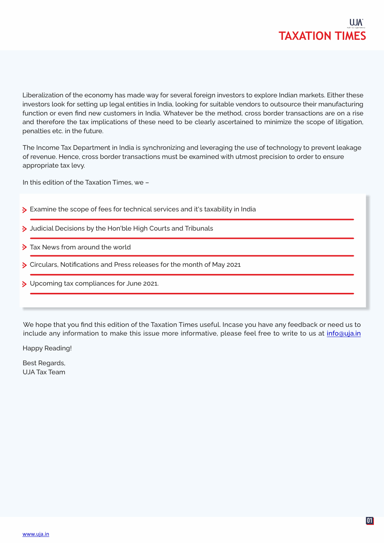

Liberalization of the economy has made way for several foreign investors to explore Indian markets. Either these investors look for setting up legal entities in India, looking for suitable vendors to outsource their manufacturing function or even find new customers in India. Whatever be the method, cross border transactions are on a rise and therefore the tax implications of these need to be clearly ascertained to minimize the scope of litigation, penalties etc. in the future.

The Income Tax Department in India is synchronizing and leveraging the use of technology to prevent leakage of revenue. Hence, cross border transactions must be examined with utmost precision to order to ensure appropriate tax levy.

In this edition of the Taxation Times, we –

- Examine the scope of fees for technical services and it's taxability in India
- > Judicial Decisions by the Hon'ble High Courts and Tribunals
- > Tax News from around the world
- S Circulars, Notifications and Press releases for the month of May 2021
- Decoming tax compliances for June 2021.

We hope that you find this edition of the Taxation Times useful. Incase you have any feedback or need us to include any information to make this issue more informative, please feel free to write to us at *info@uja.in* 

Happy Reading!

Best Regards, UJA Tax Team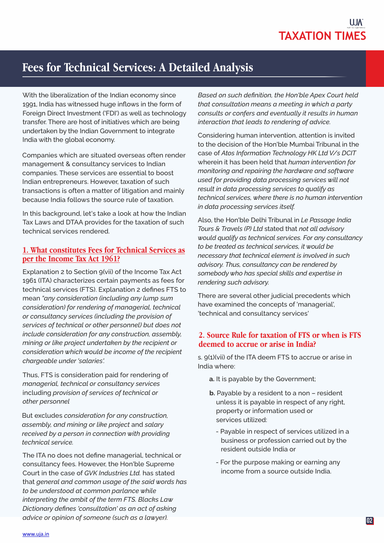## **Fees for Technical Services: A Detailed Analysis**

With the liberalization of the Indian economy since 1991, India has witnessed huge inflows in the form of Foreign Direct Investment ('FDI') as well as technology transfer. There are host of initiatives which are being undertaken by the Indian Government to integrate India with the global economy.

Companies which are situated overseas often render management & consultancy services to Indian companies. These services are essential to boost Indian entrepreneurs. However, taxation of such transactions is often a matter of litigation and mainly because India follows the source rule of taxation.

In this background, let's take a look at how the Indian Tax Laws and DTAA provides for the taxation of such technical services rendered.

### **1.What constitutes Fees for Technical Services as per the Income Tax Act 1961?**

Explanation 2 to Section 9(vii) of the Income Tax Act 1961 (ITA) characterizes certain payments as fees for technical services (FTS). Explanation 2 defines FTS to mean *"any consideration (including any lump sum consideration) for rendering of managerial, technical or consultancy services (including the provision of services of technical or other personnel) but does not include consideration for any construction, assembly, mining or like project undertaken by the recipient or consideration which would be income of the recipient chargeable under 'salaries'.*

Thus, FTS is consideration paid for rendering of *managerial, technical or consultancy services* including *provision of services of technical or other personnel*

But excludes *consideration for any construction, assembly, and mining or like project* and *salary received by a person in connection with providing technical service.* 

The ITA no does not define managerial, technical or consultancy fees. However, the Hon'ble Supreme Court in the case of *GVK Industries Ltd.* has stated that *general and common usage of the said words has to be understood at common parlance while interpreting the ambit of the term FTS. Blacks Law Dictionary defines 'consultation' as an act of asking advice or opinion of someone (such as a lawyer).*

*Based on such definition, the Hon'ble Apex Court held that consultation means a meeting in which a party consults or confers and eventually it results in human interaction that leads to rendering of advice.* 

Considering human intervention, attention is invited to the decision of the Hon'ble Mumbai Tribunal in the case of *Atos Information Technology HK Ltd V/s DCIT* wherein it has been held that *human intervention for monitoring and repairing the hardware and software used for providing data processing services will not result in data processing services to qualify as technical services, where there is no human intervention in data processing services itself.* 

Also, the Hon'ble Delhi Tribunal in *Le Passage India Tours & Travels (P) Ltd* stated that *not all advisory would qualify as technical services. For any consultancy to be treated as technical services, it would be necessary that technical element is involved in such advisory. Thus, consultancy can be rendered by somebody who has special skills and expertise in rendering such advisory.* 

There are several other judicial precedents which have examined the concepts of 'managerial', 'technical and consultancy services'

### **2.Source Rule for taxation of FTS or when is FTS deemed to accrue or arise in India?**

s. 9(1)(vii) of the ITA deem FTS to accrue or arise in India where:

- **a.** It is payable by the Government;
- **b.** Payable by a resident to a non resident unless it is payable in respect of any right, property or information used or services utilized:
	- -Payable in respect of services utilized in a business or profession carried out by the resident outside India or
	- -For the purpose making or earning any income from a source outside India.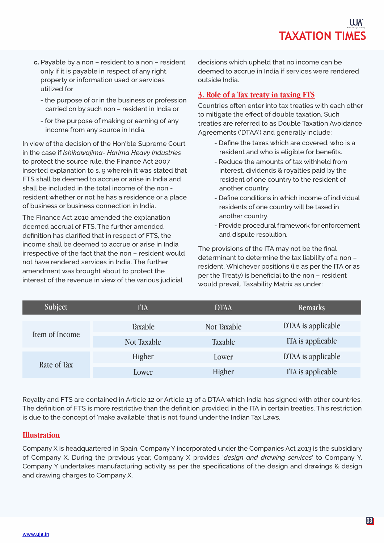- **c.** Payable by a non resident to a non resident only if it is payable in respect of any right, property or information used or services utilized for
	- the purpose of or in the business or profession carried on by such non – resident in India or
	- -for the purpose of making or earning of any income from any source in India.

In view of the decision of the Hon'ble Supreme Court in the case if *Ishikawajima- Harima Heavy Industries* to protect the source rule, the Finance Act 2007 inserted explanation to s. 9 wherein it was stated that FTS shall be deemed to accrue or arise in India and shall be included in the total income of the non resident whether or not he has a residence or a place of business or business connection in India.

The Finance Act 2010 amended the explanation deemed accrual of FTS. The further amended definition has clarified that in respect of FTS, the income shall be deemed to accrue or arise in India irrespective of the fact that the non – resident would not have rendered services in India. The further amendment was brought about to protect the interest of the revenue in view of the various judicial

decisions which upheld that no income can be deemed to accrue in India if services were rendered outside India.

### **3. Role of a Tax treaty in taxing FTS**

Countries often enter into tax treaties with each other to mitigate the effect of double taxation. Such treaties are referred to as Double Taxation Avoidance Agreements ('DTAA') and generally include:

- -Define the taxes which are covered, who is a resident and who is eligible for benefits.
- -Reduce the amounts of tax withheld from interest, dividends & royalties paid by the resident of one country to the resident of another country
- Define conditions in which income of individual residents of one country will be taxed in another country.
- Provide procedural framework for enforcement and dispute resolution.

The provisions of the ITA may not be the final determinant to determine the tax liability of a non – resident. Whichever positions (i.e as per the ITA or as per the Treaty) is beneficial to the non – resident would prevail. Taxability Matrix as under:

| Subject        | ITA                | <b>DTAA</b> | <b>Remarks</b>     |
|----------------|--------------------|-------------|--------------------|
| Item of Income | <b>Taxable</b>     | Not Taxable | DTAA is applicable |
|                | <b>Not Taxable</b> | Taxable     | ITA is applicable  |
| Rate of Tax    | Higher             | Lower       | DTAA is applicable |
|                | Lower              | Higher      | ITA is applicable  |

Royalty and FTS are contained in Article 12 or Article 13 of a DTAA which India has signed with other countries. The definition of FTS is more restrictive than the definition provided in the ITA in certain treaties. This restriction is due to the concept of 'make available' that is not found under the Indian Tax Laws.

### **Illustration**

Company X is headquartered in Spain. Company Y incorporated under the Companies Act 2013 is the subsidiary of Company X. During the previous year, Company X provides '*design and drawing services*' to Company Y. Company Y undertakes manufacturing activity as per the specifications of the design and drawings & design and drawing charges to Company X.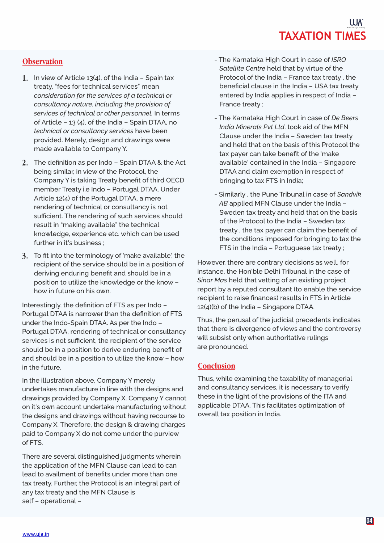### **Observation**

- In view of Article 13(4), of the India Spain tax **1.**  treaty, "fees for technical services" mean *consideration for the services of a technical or consultancy nature, including the provision of services of technical or other personnel.* In terms of Article – 13 (4), of the India – Spain DTAA, no *technical or consultancy services* have been provided. Merely, design and drawings were made available to Company Y.
- The definition as per Indo Spain DTAA & the Act **2.**  being similar, in view of the Protocol, the Company Y is taking Treaty benefit of third OECD member Treaty i.e Indo – Portugal DTAA. Under Article 12(4) of the Portugal DTAA, a mere rendering of technical or consultancy is not sufficient. The rendering of such services should result in "making available" the technical knowledge, experience etc. which can be used further in it's business ;
- To fit into the terminology of 'make available', the **3.**  recipient of the service should be in a position of deriving enduring benefit and should be in a position to utilize the knowledge or the know – how in future on his own.

Interestingly, the definition of FTS as per Indo – Portugal DTAA is narrower than the definition of FTS under the Indo-Spain DTAA. As per the Indo – Portugal DTAA, rendering of technical or consultancy services is not sufficient, the recipient of the service should be in a position to derive enduring benefit of and should be in a position to utilize the know – how in the future.

In the illustration above, Company Y merely undertakes manufacture in line with the designs and drawings provided by Company X. Company Y cannot on it's own account undertake manufacturing without the designs and drawings without having recourse to Company X. Therefore, the design & drawing charges paid to Company X do not come under the purview of FTS.

There are several distinguished judgments wherein the application of the MFN Clause can lead to can lead to availment of benefits under more than one tax treaty. Further, the Protocol is an integral part of any tax treaty and the MFN Clause is self – operational –

- The Karnataka High Court in case of *ISRO Satellite Centre* held that by virtue of the Protocol of the India – France tax treaty , the beneficial clause in the India – USA tax treaty entered by India applies in respect of India – France treaty ;
- The Karnataka High Court in case of *De Beers India Minerals Pvt Ltd*. took aid of the MFN Clause under the India – Sweden tax treaty and held that on the basis of this Protocol the tax payer can take benefit of the 'make available' contained in the India – Singapore DTAA and claim exemption in respect of bringing to tax FTS in India;
- -Similarly , the Pune Tribunal in case of *Sandvik* AB applied MFN Clause under the India - Sweden tax treaty and held that on the basis of the Protocol to the India – Sweden tax treaty , the tax payer can claim the benefit of the conditions imposed for bringing to tax the FTS in the India – Portuguese tax treaty ;

However, there are contrary decisions as well, for instance, the Hon'ble Delhi Tribunal in the case of *Sinar Mas* held that vetting of an existing project report by a reputed consultant (to enable the service recipient to raise finances) results in FTS in Article 12(4)(b) of the India – Singapore DTAA.

Thus, the perusal of the judicial precedents indicates that there is divergence of views and the controversy will subsist only when authoritative rulings are pronounced.

### **Conclusion**

Thus, while examining the taxability of managerial and consultancy services, it is necessary to verify these in the light of the provisions of the ITA and applicable DTAA. This facilitates optimization of overall tax position in India.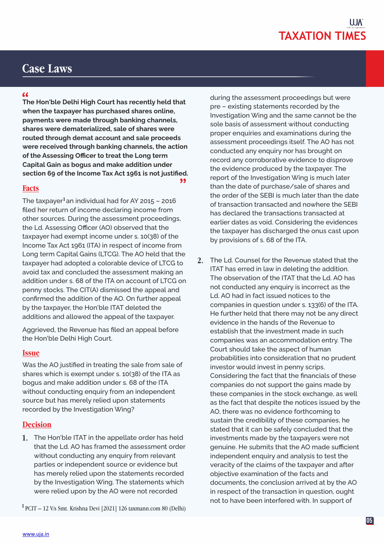### **Case Laws**

**The Hon'ble Delhi High Court has recently held that " when the taxpayer has purchased shares online, payments were made through banking channels, shares were dematerialized, sale of shares were routed through demat account and sale proceeds were received through banking channels, the action of the Assessing Officer to treat the Long term Capital Gain as bogus and make addition under section 69 of the Income Tax Act 1961 is not justified. "**

### **Facts**

The taxpayer $^1$ an individual had for AY 2015 – 2016 filed her return of income declaring income from other sources. During the assessment proceedings, the Ld. Assessing Officer (AO) observed that the taxpayer had exempt income under s. 10(38) of the Income Tax Act 1961 (ITA) in respect of income from Long term Capital Gains (LTCG). The AO held that the taxpayer had adopted a colorable device of LTCG to avoid tax and concluded the assessment making an addition under s. 68 of the ITA on account of LTCG on penny stocks. The CIT(A) dismissed the appeal and confirmed the addition of the AO. On further appeal by the taxpayer, the Hon'ble ITAT deleted the additions and allowed the appeal of the taxpayer.

Aggrieved, the Revenue has filed an appeal before the Hon'ble Delhi High Court.

### **Issue**

Was the AO justified in treating the sale from sale of shares which is exempt under s. 10(38) of the ITA as bogus and make addition under s. 68 of the ITA without conducting enquiry from an independent source but has merely relied upon statements recorded by the Investigation Wing?

### **Decision**

**1.** The Hon'ble ITAT in the appellate order has held that the Ld. AO has framed the assessment order without conducting any enquiry from relevant parties or independent source or evidence but has merely relied upon the statements recorded by the Investigation Wing. The statements which were relied upon by the AO were not recorded

PCIT – 12 V/s Smt. Krishna Devi [2021] 126 taxmann.com 80 (Delhi) **<sup>1</sup>**

during the assessment proceedings but were pre – existing statements recorded by the Investigation Wing and the same cannot be the sole basis of assessment without conducting proper enquiries and examinations during the assessment proceedings itself. The AO has not conducted any enquiry nor has brought on record any corroborative evidence to disprove the evidence produced by the taxpayer. The report of the Investigation Wing is much later than the date of purchase/sale of shares and the order of the SEBI is much later than the date of transaction transacted and nowhere the SEBI has declared the transactions transacted at earlier dates as void. Considering the evidences the taxpayer has discharged the onus cast upon by provisions of s. 68 of the ITA.

The Ld. Counsel for the Revenue stated that the **2.**  ITAT has erred in law in deleting the addition. The observation of the ITAT that the Ld. AO has not conducted any enquiry is incorrect as the Ld. AO had in fact issued notices to the companies in question under s. 133(6) of the ITA. He further held that there may not be any direct evidence in the hands of the Revenue to establish that the investment made in such companies was an accommodation entry. The Court should take the aspect of human probabilities into consideration that no prudent investor would invest in penny scrips. Considering the fact that the financials of these companies do not support the gains made by these companies in the stock exchange, as well as the fact that despite the notices issued by the AO, there was no evidence forthcoming to sustain the credibility of these companies, he stated that it can be safely concluded that the investments made by the taxpayers were not genuine. He submits that the AO made sufficient independent enquiry and analysis to test the veracity of the claims of the taxpayer and after objective examination of the facts and documents, the conclusion arrived at by the AO in respect of the transaction in question, ought not to have been interfered with. In support of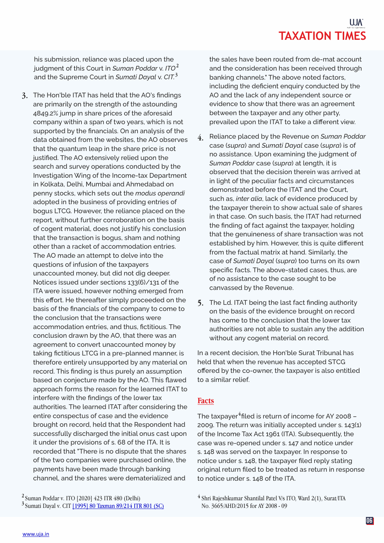his submission, reliance was placed upon the judgment of this Court in *Suman Poddar* v. *ITO*  **2** and the Supreme Court in *Sumati Dayal* v. *CIT.* **3**

**3.** The Hon'ble ITAT has held that the AO's findings are primarily on the strength of the astounding 4849.2% jump in share prices of the aforesaid company within a span of two years, which is not supported by the financials. On an analysis of the data obtained from the websites, the AO observes that the quantum leap in the share price is not justified. The AO extensively relied upon the search and survey operations conducted by the Investigation Wing of the Income-tax Department in Kolkata, Delhi, Mumbai and Ahmedabad on penny stocks, which sets out the *modus operandi* adopted in the business of providing entries of bogus LTCG. However, the reliance placed on the report, without further corroboration on the basis of cogent material, does not justify his conclusion that the transaction is bogus, sham and nothing other than a racket of accommodation entries. The AO made an attempt to delve into the questions of infusion of the taxpayers unaccounted money, but did not dig deeper. Notices issued under sections 133(6)/131 of the ITA were issued, however nothing emerged from this effort. He thereafter simply proceeded on the basis of the financials of the company to come to the conclusion that the transactions were accommodation entries, and thus, fictitious. The conclusion drawn by the AO, that there was an agreement to convert unaccounted money by taking fictitious LTCG in a pre-planned manner, is therefore entirely unsupported by any material on record. This finding is thus purely an assumption based on conjecture made by the AO. This flawed approach forms the reason for the learned ITAT to interfere with the findings of the lower tax authorities. The learned ITAT after considering the entire conspectus of case and the evidence brought on record, held that the Respondent had successfully discharged the initial onus cast upon it under the provisions of s. 68 of the ITA. It is recorded that "There is no dispute that the shares of the two companies were purchased online, the payments have been made through banking channel, and the shares were dematerialized and

Suman Poddar v. ITO [2020] 423 ITR 480 (Delhi) **2** Sumati Dayal v. CIT [1995] 80 Taxman 89/214 ITR 801 (SC) **3** the sales have been routed from de-mat account and the consideration has been received through banking channels." The above noted factors, including the deficient enquiry conducted by the AO and the lack of any independent source or evidence to show that there was an agreement between the taxpayer and any other party, prevailed upon the ITAT to take a different view.

- Reliance placed by the Revenue on *Suman Poddar* case (*supra*) and *Sumati Dayal* case (*supra*) is of no assistance. Upon examining the judgment of *Suman Poddar* case (*supra*) at length, it is observed that the decision therein was arrived at in light of the peculiar facts and circumstances demonstrated before the ITAT and the Court, such as, *inter alia*, lack of evidence produced by the taxpayer therein to show actual sale of shares in that case. On such basis, the ITAT had returned the finding of fact against the taxpayer, holding that the genuineness of share transaction was not established by him. However, this is quite different from the factual matrix at hand. Similarly, the case of *Sumati Dayal* (*supra*) too turns on its own specific facts. The above-stated cases, thus, are of no assistance to the case sought to be canvassed by the Revenue. **4.**
- The Ld. ITAT being the last fact finding authority **5.**  on the basis of the evidence brought on record has come to the conclusion that the lower tax authorities are not able to sustain any the addition without any cogent material on record.

In a recent decision, the Hon'ble Surat Tribunal has held that when the revenue has accepted STCG offered by the co-owner, the taxpayer is also entitled to a similar relief.

### **Facts**

The taxpayer<sup>4</sup>filed is return of income for AY 2008 -2009. The return was initially accepted under s. 143(1) of the Income Tax Act 1961 (ITA). Subsequently, the case was re-opened under s. 147 and notice under s. 148 was served on the taxpayer. In response to notice under s. 148, the taxpayer filed reply stating original return filed to be treated as return in response to notice under s. 148 of the ITA.

<sup>&</sup>lt;sup>4</sup> Shri Rajeshkumar Shantilal Patel V/s ITO, Ward 2(1), Surat/ITA No. 3665/AHD/2015 for AY 2008 - 09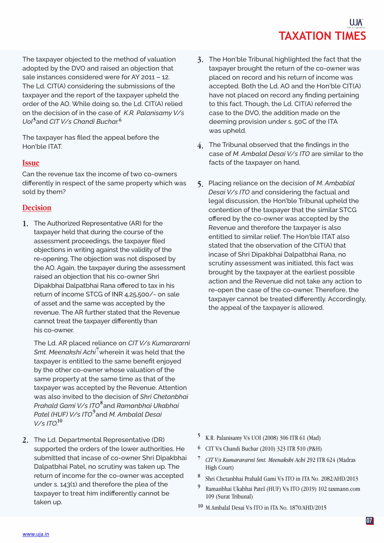The taxpayer objected to the method of valuation adopted by the DVO and raised an objection that sale instances considered were for AY 2011 – 12. The Ld. CIT(A) considering the submissions of the taxpayer and the report of the taxpayer upheld the order of the AO. While doing so, the Ld. CIT(A) relied on the decision of in the case of *K.R. Palanisamy V/s UoI* and *CIT V/s Chandi Buchar.* **5 6**

The taxpayer has filed the appeal before the Hon'ble ITAT.

### **Issue**

Can the revenue tax the income of two co-owners differently in respect of the same property which was sold by them?

### **Decision**

The Authorized Representative (AR) for the **1.** taxpayer held that during the course of the assessment proceedings, the taxpayer filed objections in writing against the validity of the re-opening. The objection was not disposed by the AO. Again, the taxpayer during the assessment raised an objection that his co-owner Shri Dipakbhai Dalpatbhai Rana offered to tax in his return of income STCG of INR 4,25,500/- on sale of asset and the same was accepted by the revenue. The AR further stated that the Revenue cannot treat the taxpayer differently than his co-owner.

The Ld. AR placed reliance on *CIT V/s Kumarararni Smt. Meenakshi Achi* wherein it was held that the **7** taxpayer is entitled to the same benefit enjoyed by the other co-owner whose valuation of the same property at the same time as that of the taxpayer was accepted by the Revenue. Attention was also invited to the decision of *Shri Chetanbhai Prahald Gami V/s ITO* and *Ramanbhai Ukabhai* **8** *Patel (HUF) V/s ITO* and *M. Ambalal Desai* **9** *V/s ITO.* **10**

**2.** The Ld. Departmental Representative (DR) supported the orders of the lower authorities. He submitted that incase of co-owner Shri Dipakbhai Dalpatbhai Patel, no scrutiny was taken up. The return of income for the co-owner was accepted under s. 143(1) and therefore the plea of the taxpayer to treat him indifferently cannot be taken up.

- **3.** The Hon'ble Tribunal highlighted the fact that the taxpayer brought the return of the co-owner was placed on record and his return of income was accepted. Both the Ld. AO and the Hon'ble CIT(A) have not placed on record any finding pertaining to this fact. Though, the Ld. CIT(A) referred the case to the DVO, the addition made on the deeming provision under s. 50C of the ITA was upheld.
- The Tribunal observed that the findings in the **4.** case of *M. Ambalal Desai V/s ITO* are similar to the facts of the taxpayer on hand.
- Placing reliance on the decision of *M. Ambablal* **5.** *Desai V/s ITO* and considering the factual and legal discussion, the Hon'ble Tribunal upheld the contention of the taxpayer that the similar STCG offered by the co-owner was accepted by the Revenue and therefore the taxpayer is also entitled to similar relief. The Hon'ble ITAT also stated that the observation of the CIT(A) that incase of Shri Dipakbhai Dalpatbhai Rana, no scrutiny assessment was initiated, this fact was brought by the taxpayer at the earliest possible action and the Revenue did not take any action to re-open the case of the co-owner. Therefore, the taxpayer cannot be treated differently. Accordingly, the appeal of the taxpayer is allowed.

- K.R. Palanisamy V/s UOI (2008) 306 ITR 61 (Mad) **5**
- CIT V/s Chandi Buchar (2010) 323 ITR 510 (P&H) **6**
- *CIT V/s Kumarararni Smt. Meenakshi Achi* 292 ITR 624 (Madras **7** High Court)
- Shri Chetanbhai Prahald Gami V/s ITO in ITA No. 2082/AHD/2013 **8**
- Ramanbhai Ukabhai Patel (HUF) V/s ITO (2019) 102 taxmann.com 109 (Surat Tribunal) **9**
- M.Ambalal Desai V/s ITO in ITA No. 1870/AHD/2015 **10**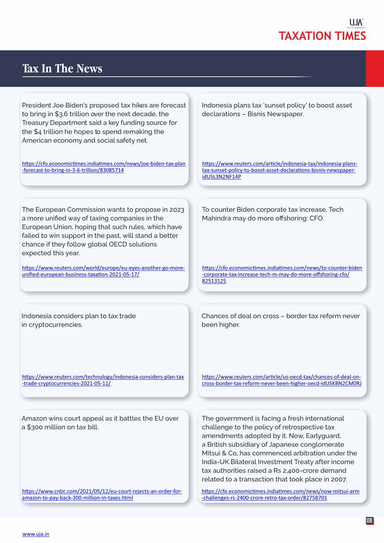

### **Tax In The News**

President Joe Biden's proposed tax hikes are forecast to bring in \$3.6 trillion over the next decade, the Treasury Department said a key funding source for the \$4 trillion he hopes to spend remaking the American economy and social safety net.

https://cfo.economictimes.indiatimes.com/news/joe-biden-tax-plan -forecast-to-bring-in-3-6-trillion/83085714

The European Commission wants to propose in 2023 a more unified way of taxing companies in the European Union, hoping that such rules, which have failed to win support in the past, will stand a better chance if they follow global OECD solutions expected this year.

https://www.reuters.com/world/europe/eu-eyes-another-go-moreunified-european-business-taxation-2021-05-17/

Indonesia considers plan to tax trade in cryptocurrencies.

https://www.reuters.com/technology/indonesia-considers-plan-tax -trade-cryptocurrencies-2021-05-11/

Amazon wins court appeal as it battles the EU over a \$300 million on tax bill.

https://www.cnbc.com/2021/05/12/eu-court-rejects-an-order-foramazon-to-pay-back-300-million-in-taxes.html

Indonesia plans tax 'sunset policy' to boost asset declarations – Bisnis Newspaper.

https://www.reuters.com/article/indonesia-tax/indonesia-planstax-sunset-policy-to-boost-asset-declarations-bisnis-newspaperidUSL3N2NF14P

To counter Biden corporate tax increase, Tech Mahindra may do more offshoring: CFO.

https://cfo.economictimes.indiatimes.com/news/to-counter-biden -corporate-tax-increase-tech-m-may-do-more-offshoring-cfo/ 82513125

Chances of deal on cross – border tax reform never been higher.

https://www.reuters.com/article/us-oecd-tax/chances-of-deal-oncross-border-tax-reform-never-been-higher-oecd-idUSKBN2CM0RJ

The government is facing a fresh international challenge to the policy of retrospective tax amendments adopted by it. Now, Earlyguard, a British subsidiary of Japanese conglomerate Mitsui & Co, has commenced arbitration under the India-UK Bilateral Investment Treaty after income tax authorities raised a Rs 2,400-crore demand related to a transaction that took place in 2007.

https://cfo.economictimes.indiatimes.com/news/now-mitsui-arm -challenges-rs-2400-crore-retro-tax-order/82758701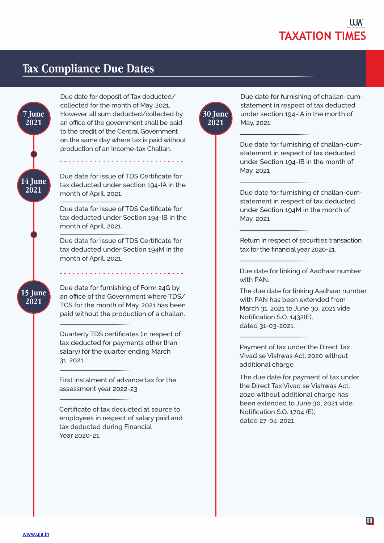

### **Tax Compliance Due Dates**



Due date for deposit of Tax deducted/ collected for the month of May, 2021. However, all sum deducted/collected by an office of the government shall be paid to the credit of the Central Government on the same day where tax is paid without production of an Income-tax Challan.

Due date for issue of TDS Certificate for tax deducted under section 194-IA in the month of April, 2021.

Due date for issue of TDS Certificate for tax deducted under Section 194-IB in the month of April, 2021.

Due date for issue of TDS Certificate for tax deducted under Section 194M in the month of April, 2021.

Due date for furnishing of Form 24G by an office of the Government where TDS/ TCS for the month of May, 2021 has been paid without the production of a challan.

Quarterly TDS certificates (in respect of tax deducted for payments other than salary) for the quarter ending March 31, 2021.

First instalment of advance tax for the assessment year 2022-23.

Certificate of tax deducted at source to employees in respect of salary paid and tax deducted during Financial Year 2020-21.



Due date for furnishing of challan-cumstatement in respect of tax deducted under section 194-IA in the month of May, 2021.

Due date for furnishing of challan-cumstatement in respect of tax deducted under Section 194-IB in the month of May, 2021

Due date for furnishing of challan-cumstatement in respect of tax deducted under Section 194M in the month of May, 2021

Return in respect of securities transaction tax for the financial year 2020-21.

Due date for linking of Aadhaar number with PAN.

The due date for linking Aadhaar number with PAN has been extended from March 31, 2021 to June 30, 2021 vide Notification S.O. 1432(E), dated 31-03-2021.

Payment of tax under the Direct Tax Vivad se Vishwas Act, 2020 without additional charge

The due date for payment of tax under the Direct Tax Vivad se Vishwas Act, 2020 without additional charge has been extended to June 30, 2021 vide Notification S.O. 1704 (E), dated 27-04-2021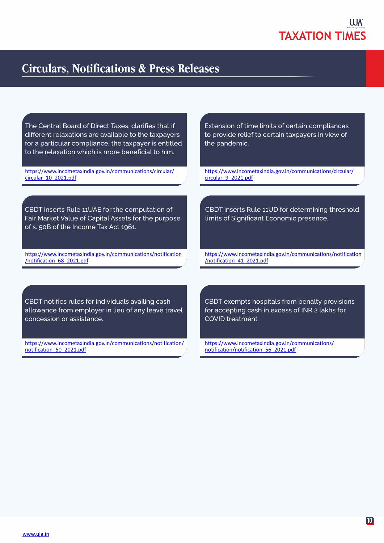### **Circulars, Notifications & Press Releases**

The Central Board of Direct Taxes, clarifies that if different relaxations are available to the taxpayers for a particular compliance, the taxpayer is entitled to the relaxation which is more beneficial to him.

https://www.incometaxindia.gov.in/communications/circular/ circular\_10\_2021.pdf

CBDT inserts Rule 11UAE for the computation of Fair Market Value of Capital Assets for the purpose of s. 50B of the Income Tax Act 1961.

https://www.incometaxindia.gov.in/communications/notification /notification\_68\_2021.pdf

Extension of time limits of certain compliances to provide relief to certain taxpayers in view of the pandemic.

https://www.incometaxindia.gov.in/communications/circular/ circular\_9\_2021.pdf

CBDT inserts Rule 11UD for determining threshold limits of Significant Economic presence.

https://www.incometaxindia.gov.in/communications/notification /notification\_41\_2021.pdf

CBDT notifies rules for individuals availing cash allowance from employer in lieu of any leave travel concession or assistance.

https://www.incometaxindia.gov.in/communications/notification/ notification\_50\_2021.pdf

CBDT exempts hospitals from penalty provisions for accepting cash in excess of INR 2 lakhs for COVID treatment.

https://www.incometaxindia.gov.in/communications/ notification/notification\_56\_2021.pdf